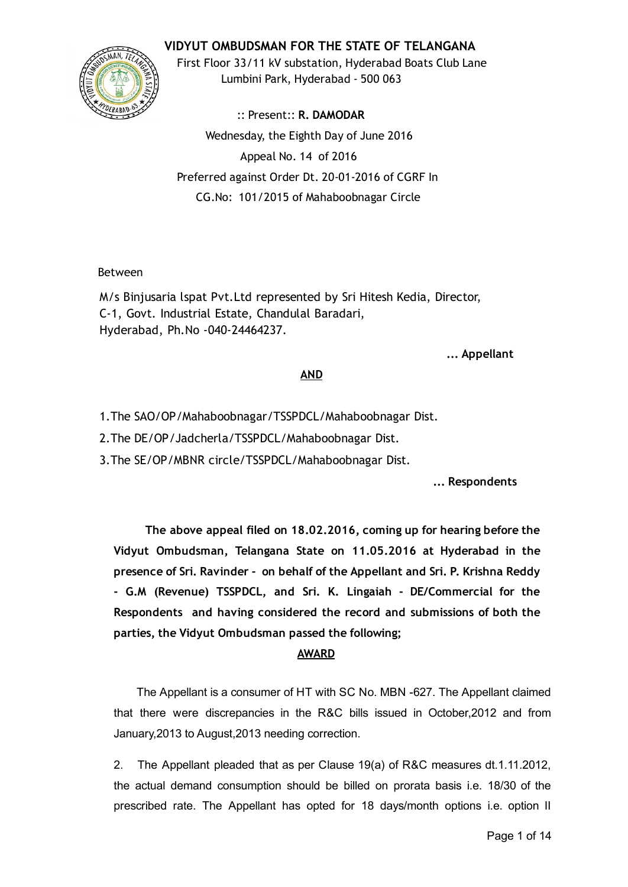# VIDYUT OMBUDSMAN FOR THE STATE OF TELANGANA



First Floor 33/11 kV substation, Hyderabad Boats Club Lane Lumbini Park, Hyderabad ‐ 500 063

:: Present:: R. DAMODAR Wednesday, the Eighth Day of June 2016 Appeal No. 14 of 2016 Preferred against Order Dt. 20‐01‐2016 of CGRF In CG.No: 101/2015 of Mahaboobnagar Circle

## Between

M/s Binjusaria lspat Pvt.Ltd represented by Sri Hitesh Kedia, Director, C‐1, Govt. Industrial Estate, Chandulal Baradari, Hyderabad, Ph.No ‐040‐24464237.

#### ... Appellant

## AND

1.The SAO/OP/Mahaboobnagar/TSSPDCL/Mahaboobnagar Dist.

2.The DE/OP/Jadcherla/TSSPDCL/Mahaboobnagar Dist.

3.The SE/OP/MBNR circle/TSSPDCL/Mahaboobnagar Dist.

... Respondents

The above appeal filed on 18.02.2016, coming up for hearing before the Vidyut Ombudsman, Telangana State on 11.05.2016 at Hyderabad in the presence of Sri. Ravinder ‐ on behalf of the Appellant and Sri. P. Krishna Reddy ‐ G.M (Revenue) TSSPDCL, and Sri. K. Lingaiah ‐ DE/Commercial for the Respondents and having considered the record and submissions of both the parties, the Vidyut Ombudsman passed the following;

# AWARD

The Appellant is a consumer of HT with SC No. MBN -627. The Appellant claimed that there were discrepancies in the R&C bills issued in October,2012 and from January,2013 to August,2013 needing correction.

2. The Appellant pleaded that as per Clause 19(a) of R&C measures dt.1.11.2012, the actual demand consumption should be billed on prorata basis i.e. 18/30 of the prescribed rate. The Appellant has opted for 18 days/month options i.e. option II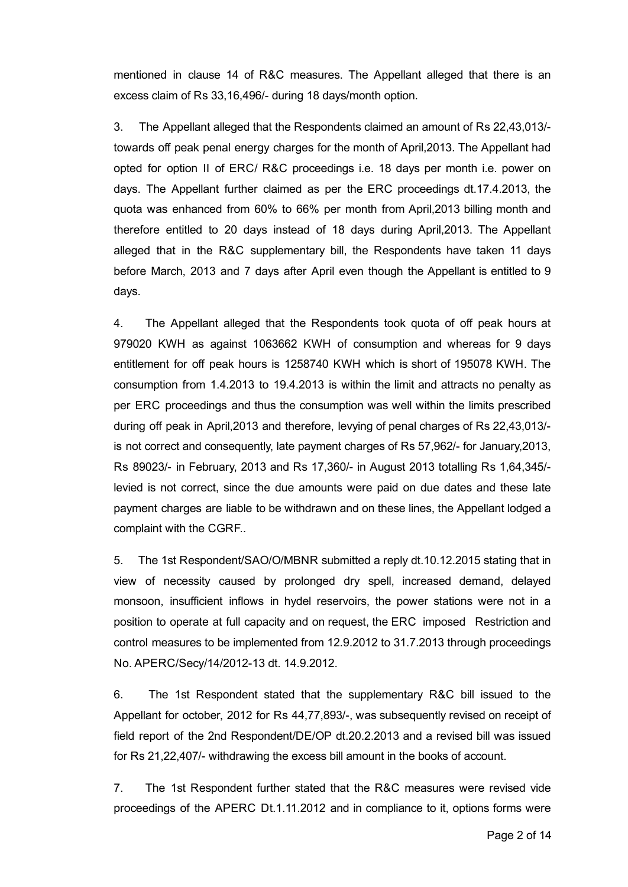mentioned in clause 14 of R&C measures. The Appellant alleged that there is an excess claim of Rs 33,16,496/ during 18 days/month option.

3. The Appellant alleged that the Respondents claimed an amount of Rs 22,43,013/ towards off peak penal energy charges for the month of April,2013. The Appellant had opted for option II of ERC/ R&C proceedings i.e. 18 days per month i.e. power on days. The Appellant further claimed as per the ERC proceedings dt.17.4.2013, the quota was enhanced from 60% to 66% per month from April,2013 billing month and therefore entitled to 20 days instead of 18 days during April,2013. The Appellant alleged that in the R&C supplementary bill, the Respondents have taken 11 days before March, 2013 and 7 days after April even though the Appellant is entitled to 9 days.

4. The Appellant alleged that the Respondents took quota of off peak hours at 979020 KWH as against 1063662 KWH of consumption and whereas for 9 days entitlement for off peak hours is 1258740 KWH which is short of 195078 KWH. The consumption from 1.4.2013 to 19.4.2013 is within the limit and attracts no penalty as per ERC proceedings and thus the consumption was well within the limits prescribed during off peak in April,2013 and therefore, levying of penal charges of Rs 22,43,013/ is not correct and consequently, late payment charges of Rs 57,962/ for January,2013, Rs 89023/ in February, 2013 and Rs 17,360/ in August 2013 totalling Rs 1,64,345/ levied is not correct, since the due amounts were paid on due dates and these late payment charges are liable to be withdrawn and on these lines, the Appellant lodged a complaint with the CGRF..

5. The 1st Respondent/SAO/O/MBNR submitted a reply dt.10.12.2015 stating that in view of necessity caused by prolonged dry spell, increased demand, delayed monsoon, insufficient inflows in hydel reservoirs, the power stations were not in a position to operate at full capacity and on request, the ERC imposed Restriction and control measures to be implemented from 12.9.2012 to 31.7.2013 through proceedings No. APERC/Secy/14/2012-13 dt. 14.9.2012.

6. The 1st Respondent stated that the supplementary R&C bill issued to the Appellant for october, 2012 for Rs 44,77,893/, was subsequently revised on receipt of field report of the 2nd Respondent/DE/OP dt.20.2.2013 and a revised bill was issued for Rs 21,22,407/ withdrawing the excess bill amount in the books of account.

7. The 1st Respondent further stated that the R&C measures were revised vide proceedings of the APERC Dt.1.11.2012 and in compliance to it, options forms were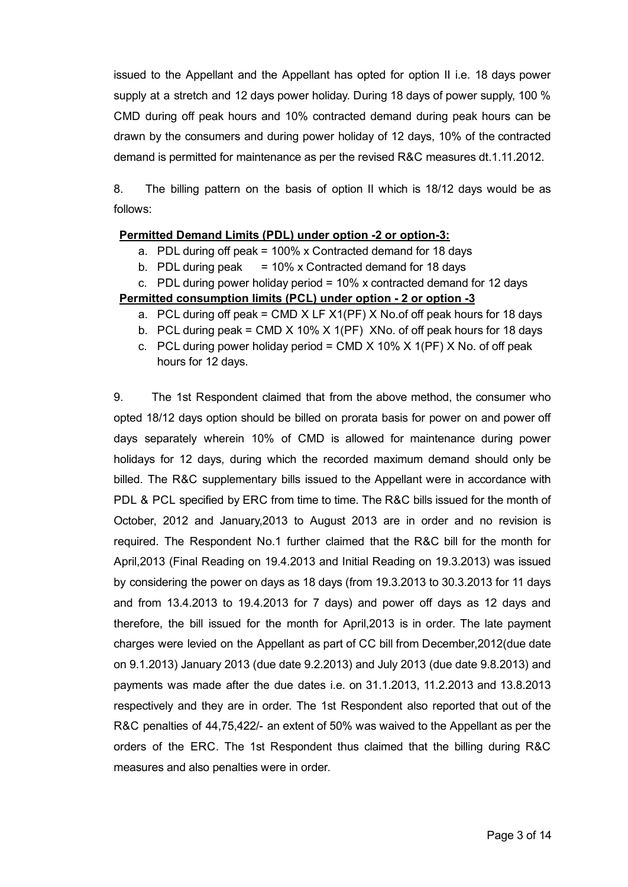issued to the Appellant and the Appellant has opted for option II i.e. 18 days power supply at a stretch and 12 days power holiday. During 18 days of power supply, 100 % CMD during off peak hours and 10% contracted demand during peak hours can be drawn by the consumers and during power holiday of 12 days, 10% of the contracted demand is permitted for maintenance as per the revised R&C measures dt.1.11.2012.

8. The billing pattern on the basis of option II which is 18/12 days would be as follows:

## Permitted Demand Limits (PDL) under option -2 or option-3:

- a. PDL during off peak = 100% x Contracted demand for 18 days
- b. PDL during peak  $= 10\%$  x Contracted demand for 18 days

c. PDL during power holiday period  $= 10\%$  x contracted demand for 12 days Permitted consumption limits (PCL) under option - 2 or option - 3

- a. PCL during off peak = CMD  $X$  LF  $X1(PF)$  X No. of off peak hours for 18 days
- b. PCL during peak = CMD X 10% X 1(PF) XNo. of off peak hours for 18 days
- c. PCL during power holiday period = CMD  $X$  10%  $X$  1(PF)  $X$  No. of off peak hours for 12 days.

9. The 1st Respondent claimed that from the above method, the consumer who opted 18/12 days option should be billed on prorata basis for power on and power off days separately wherein 10% of CMD is allowed for maintenance during power holidays for 12 days, during which the recorded maximum demand should only be billed. The R&C supplementary bills issued to the Appellant were in accordance with PDL & PCL specified by ERC from time to time. The R&C bills issued for the month of October, 2012 and January,2013 to August 2013 are in order and no revision is required. The Respondent No.1 further claimed that the R&C bill for the month for April,2013 (Final Reading on 19.4.2013 and Initial Reading on 19.3.2013) was issued by considering the power on days as 18 days (from 19.3.2013 to 30.3.2013 for 11 days and from 13.4.2013 to 19.4.2013 for 7 days) and power off days as 12 days and therefore, the bill issued for the month for April,2013 is in order. The late payment charges were levied on the Appellant as part of CC bill from December,2012(due date on 9.1.2013) January 2013 (due date 9.2.2013) and July 2013 (due date 9.8.2013) and payments was made after the due dates i.e. on 31.1.2013, 11.2.2013 and 13.8.2013 respectively and they are in order. The 1st Respondent also reported that out of the R&C penalties of 44,75,422/- an extent of 50% was waived to the Appellant as per the orders of the ERC. The 1st Respondent thus claimed that the billing during R&C measures and also penalties were in order.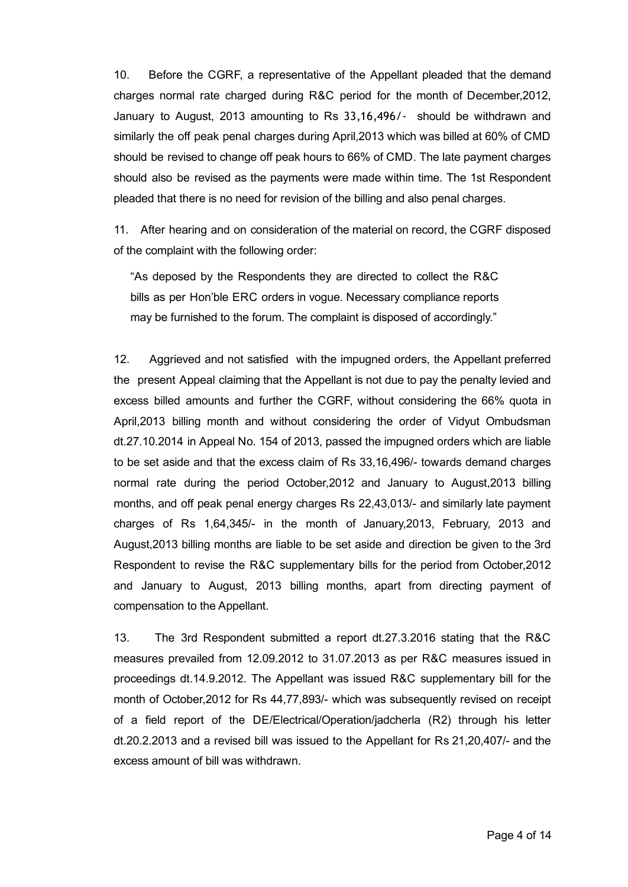10. Before the CGRF, a representative of the Appellant pleaded that the demand charges normal rate charged during R&C period for the month of December,2012, January to August, 2013 amounting to Rs 33,16,496/‐ should be withdrawn and similarly the off peak penal charges during April,2013 which was billed at 60% of CMD should be revised to change off peak hours to 66% of CMD. The late payment charges should also be revised as the payments were made within time. The 1st Respondent pleaded that there is no need for revision of the billing and also penal charges.

11. After hearing and on consideration of the material on record, the CGRF disposed of the complaint with the following order:

"As deposed by the Respondents they are directed to collect the R&C bills as per Hon'ble ERC orders in vogue. Necessary compliance reports may be furnished to the forum. The complaint is disposed of accordingly."

12. Aggrieved and not satisfied with the impugned orders, the Appellant preferred the present Appeal claiming that the Appellant is not due to pay the penalty levied and excess billed amounts and further the CGRF, without considering the 66% quota in April,2013 billing month and without considering the order of Vidyut Ombudsman dt.27.10.2014 in Appeal No. 154 of 2013, passed the impugned orders which are liable to be set aside and that the excess claim of Rs 33,16,496/- towards demand charges normal rate during the period October,2012 and January to August,2013 billing months, and off peak penal energy charges Rs 22,43,013/- and similarly late payment charges of Rs 1,64,345/ in the month of January,2013, February, 2013 and August,2013 billing months are liable to be set aside and direction be given to the 3rd Respondent to revise the R&C supplementary bills for the period from October,2012 and January to August, 2013 billing months, apart from directing payment of compensation to the Appellant.

13. The 3rd Respondent submitted a report dt.27.3.2016 stating that the R&C measures prevailed from 12.09.2012 to 31.07.2013 as per R&C measures issued in proceedings dt.14.9.2012. The Appellant was issued R&C supplementary bill for the month of October, 2012 for Rs 44, 77, 893/- which was subsequently revised on receipt of a field report of the DE/Electrical/Operation/jadcherla (R2) through his letter dt.20.2.2013 and a revised bill was issued to the Appellant for Rs 21,20,407/ and the excess amount of bill was withdrawn.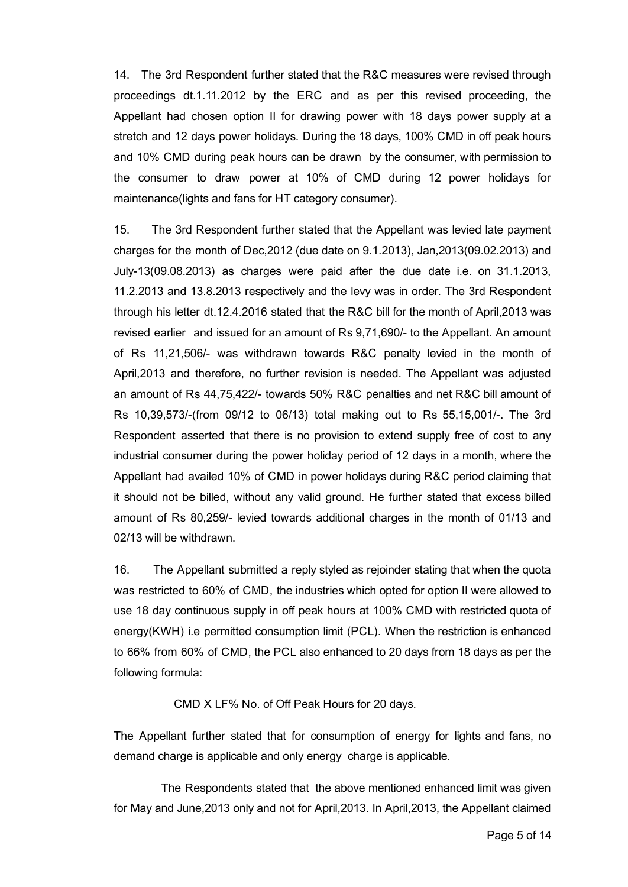14. The 3rd Respondent further stated that the R&C measures were revised through proceedings dt.1.11.2012 by the ERC and as per this revised proceeding, the Appellant had chosen option II for drawing power with 18 days power supply at a stretch and 12 days power holidays. During the 18 days, 100% CMD in off peak hours and 10% CMD during peak hours can be drawn by the consumer, with permission to the consumer to draw power at 10% of CMD during 12 power holidays for maintenance(lights and fans for HT category consumer).

15. The 3rd Respondent further stated that the Appellant was levied late payment charges for the month of Dec,2012 (due date on 9.1.2013), Jan,2013(09.02.2013) and July-13(09.08.2013) as charges were paid after the due date i.e. on  $31.1.2013$ , 11.2.2013 and 13.8.2013 respectively and the levy was in order. The 3rd Respondent through his letter dt.12.4.2016 stated that the R&C bill for the month of April,2013 was revised earlier and issued for an amount of Rs 9,71,690/- to the Appellant. An amount of Rs 11,21,506/ was withdrawn towards R&C penalty levied in the month of April,2013 and therefore, no further revision is needed. The Appellant was adjusted an amount of Rs 44,75,422/ towards 50% R&C penalties and net R&C bill amount of Rs 10,39,573/(from 09/12 to 06/13) total making out to Rs 55,15,001/. The 3rd Respondent asserted that there is no provision to extend supply free of cost to any industrial consumer during the power holiday period of 12 days in a month, where the Appellant had availed 10% of CMD in power holidays during R&C period claiming that it should not be billed, without any valid ground. He further stated that excess billed amount of Rs 80,259/- levied towards additional charges in the month of 01/13 and 02/13 will be withdrawn.

16. The Appellant submitted a reply styled as rejoinder stating that when the quota was restricted to 60% of CMD, the industries which opted for option II were allowed to use 18 day continuous supply in off peak hours at 100% CMD with restricted quota of energy(KWH) i.e permitted consumption limit (PCL). When the restriction is enhanced to 66% from 60% of CMD, the PCL also enhanced to 20 days from 18 days as per the following formula:

CMD X LF% No. of Off Peak Hours for 20 days.

The Appellant further stated that for consumption of energy for lights and fans, no demand charge is applicable and only energy charge is applicable.

The Respondents stated that the above mentioned enhanced limit was given for May and June,2013 only and not for April,2013. In April,2013, the Appellant claimed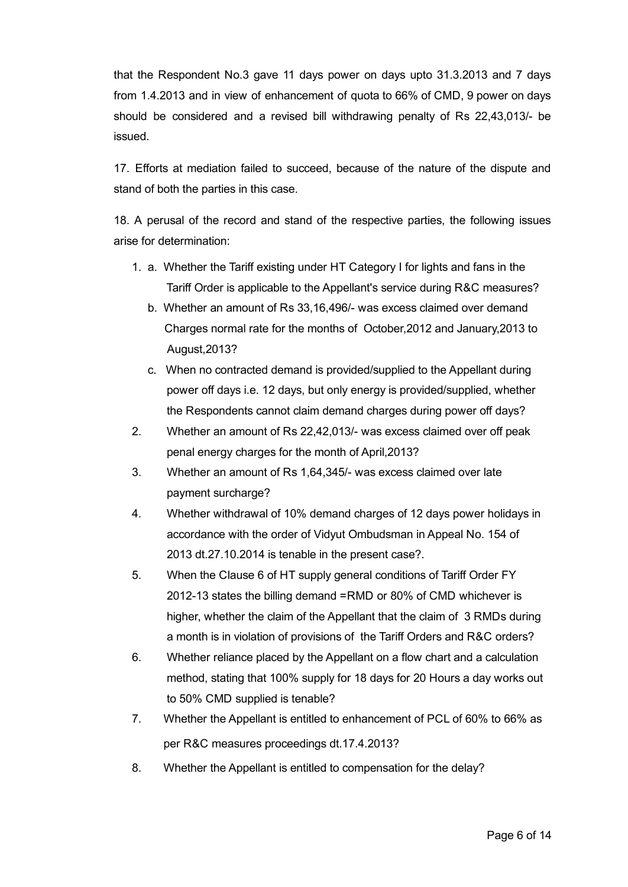that the Respondent No.3 gave 11 days power on days upto 31.3.2013 and 7 days from 1.4.2013 and in view of enhancement of quota to 66% of CMD, 9 power on days should be considered and a revised bill withdrawing penalty of Rs 22,43,013/ be issued.

17. Efforts at mediation failed to succeed, because of the nature of the dispute and stand of both the parties in this case.

18. A perusal of the record and stand of the respective parties, the following issues arise for determination:

- 1. a. Whether the Tariff existing under HT Category I for lights and fans in the Tariff Order is applicable to the Appellant's service during R&C measures?
	- b. Whether an amount of Rs 33,16,496/ was excess claimed over demand Charges normal rate for the months of October,2012 and January,2013 to August,2013?
	- c. When no contracted demand is provided/supplied to the Appellant during power off days i.e. 12 days, but only energy is provided/supplied, whether the Respondents cannot claim demand charges during power off days?
- 2. Whether an amount of Rs 22,42,013/- was excess claimed over off peak penal energy charges for the month of April,2013?
- 3. Whether an amount of Rs 1,64,345/ was excess claimed over late payment surcharge?
- 4. Whether withdrawal of 10% demand charges of 12 days power holidays in accordance with the order of Vidyut Ombudsman in Appeal No. 154 of 2013 dt.27.10.2014 is tenable in the present case?.
- 5. When the Clause 6 of HT supply general conditions of Tariff Order FY 2012-13 states the billing demand =RMD or 80% of CMD whichever is higher, whether the claim of the Appellant that the claim of 3 RMDs during a month is in violation of provisions of the Tariff Orders and R&C orders?
- 6. Whether reliance placed by the Appellant on a flow chart and a calculation method, stating that 100% supply for 18 days for 20 Hours a day works out to 50% CMD supplied is tenable?
- 7. Whether the Appellant is entitled to enhancement of PCL of 60% to 66% as per R&C measures proceedings dt.17.4.2013?
- 8. Whether the Appellant is entitled to compensation for the delay?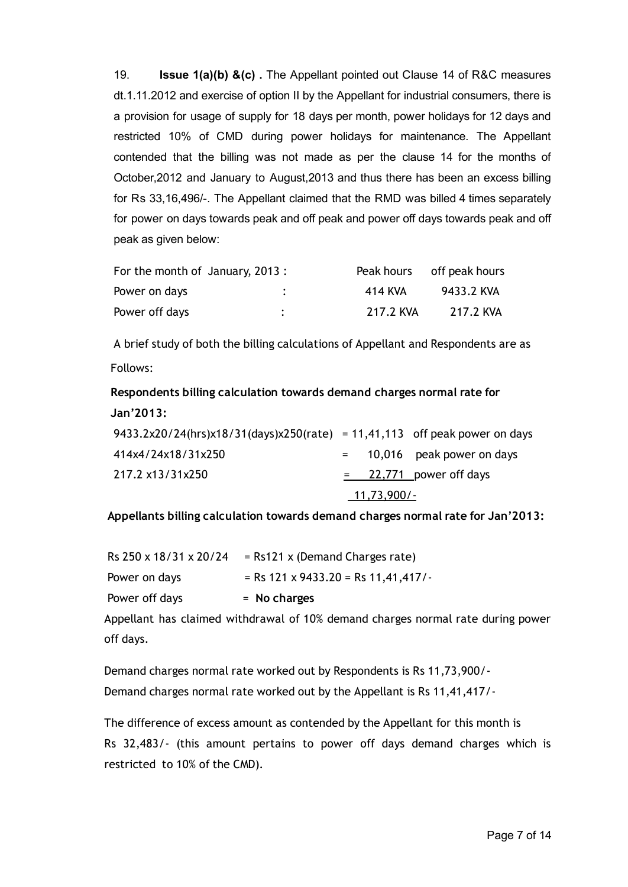19. **Issue 1(a)(b) &(c)**. The Appellant pointed out Clause 14 of R&C measures dt.1.11.2012 and exercise of option II by the Appellant for industrial consumers, there is a provision for usage of supply for 18 days per month, power holidays for 12 days and restricted 10% of CMD during power holidays for maintenance. The Appellant contended that the billing was not made as per the clause 14 for the months of October,2012 and January to August,2013 and thus there has been an excess billing for Rs 33,16,496/. The Appellant claimed that the RMD was billed 4 times separately for power on days towards peak and off peak and power off days towards peak and off peak as given below:

| For the month of January, 2013: |         |           | Peak hours off peak hours |
|---------------------------------|---------|-----------|---------------------------|
| Power on days                   | $\cdot$ | 414 KVA   | 9433.2 KVA                |
| Power off days                  | ٠       | 217.2 KVA | 217.2 KVA                 |

A brief study of both the billing calculations of Appellant and Respondents are as Follows:

# Respondents billing calculation towards demand charges normal rate for Jan'2013:

| 9433.2x20/24(hrs)x18/31(days)x250(rate) = 11,41,113 off peak power on days |             |  |                               |  |
|----------------------------------------------------------------------------|-------------|--|-------------------------------|--|
| 414x4/24x18/31x250                                                         |             |  | $=$ 10,016 peak power on days |  |
| 217.2 x13/31x250                                                           |             |  | $=$ 22,771 power off days     |  |
|                                                                            | 11,73,900/- |  |                               |  |

Appellants billing calculation towards demand charges normal rate for Jan'2013:

| Rs 250 x 18/31 x 20/24 | $=$ Rs121 x (Demand Charges rate)     |
|------------------------|---------------------------------------|
| Power on days          | $=$ Rs 121 x 9433.20 = Rs 11,41,417/- |
| Power off days         | $=$ No charges                        |

Appellant has claimed withdrawal of 10% demand charges normal rate during power off days.

Demand charges normal rate worked out by Respondents is Rs 11,73,900/‐ Demand charges normal rate worked out by the Appellant is Rs 11,41,417/‐

The difference of excess amount as contended by the Appellant for this month is Rs 32,483/‐ (this amount pertains to power off days demand charges which is restricted to 10% of the CMD).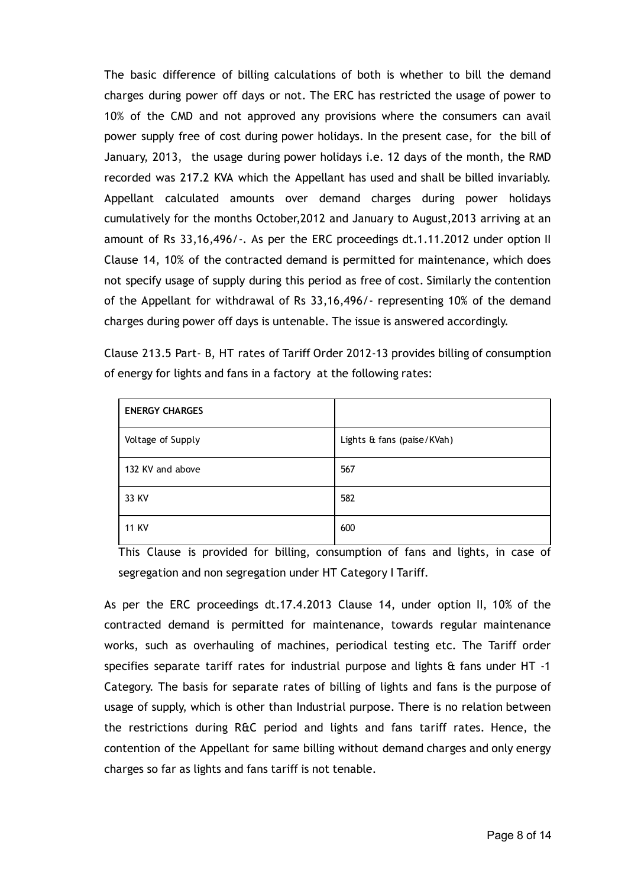The basic difference of billing calculations of both is whether to bill the demand charges during power off days or not. The ERC has restricted the usage of power to 10% of the CMD and not approved any provisions where the consumers can avail power supply free of cost during power holidays. In the present case, for the bill of January, 2013, the usage during power holidays i.e. 12 days of the month, the RMD recorded was 217.2 KVA which the Appellant has used and shall be billed invariably. Appellant calculated amounts over demand charges during power holidays cumulatively for the months October,2012 and January to August,2013 arriving at an amount of Rs 33,16,496/-. As per the ERC proceedings dt.1.11.2012 under option II Clause 14, 10% of the contracted demand is permitted for maintenance, which does not specify usage of supply during this period as free of cost. Similarly the contention of the Appellant for withdrawal of Rs 33,16,496/‐ representing 10% of the demand charges during power off days is untenable. The issue is answered accordingly.

Clause 213.5 Part‐ B, HT rates of Tariff Order 2012‐13 provides billing of consumption of energy for lights and fans in a factory at the following rates:

| <b>ENERGY CHARGES</b> |                            |
|-----------------------|----------------------------|
| Voltage of Supply     | Lights & fans (paise/KVah) |
| 132 KV and above      | 567                        |
| 33 KV                 | 582                        |
| <b>11 KV</b>          | 600                        |

This Clause is provided for billing, consumption of fans and lights, in case of segregation and non segregation under HT Category I Tariff.

As per the ERC proceedings dt.17.4.2013 Clause 14, under option II, 10% of the contracted demand is permitted for maintenance, towards regular maintenance works, such as overhauling of machines, periodical testing etc. The Tariff order specifies separate tariff rates for industrial purpose and lights & fans under HT -1 Category. The basis for separate rates of billing of lights and fans is the purpose of usage of supply, which is other than Industrial purpose. There is no relation between the restrictions during R&C period and lights and fans tariff rates. Hence, the contention of the Appellant for same billing without demand charges and only energy charges so far as lights and fans tariff is not tenable.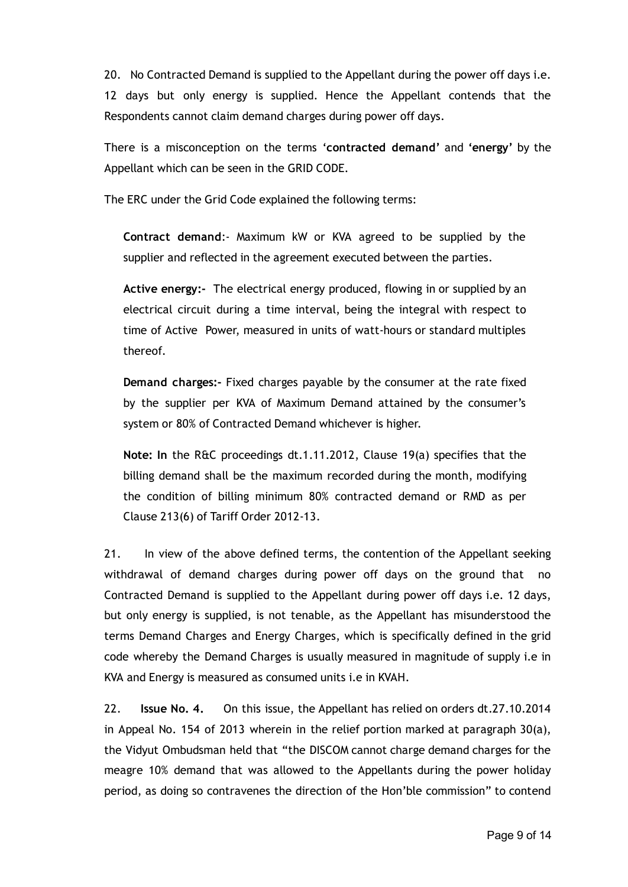20. No Contracted Demand is supplied to the Appellant during the power off days i.e. 12 days but only energy is supplied. Hence the Appellant contends that the Respondents cannot claim demand charges during power off days.

There is a misconception on the terms 'contracted demand' and 'energy' by the Appellant which can be seen in the GRID CODE.

The ERC under the Grid Code explained the following terms:

Contract demand:‐ Maximum kW or KVA agreed to be supplied by the supplier and reflected in the agreement executed between the parties.

Active energy:- The electrical energy produced, flowing in or supplied by an electrical circuit during a time interval, being the integral with respect to time of Active Power, measured in units of watt‐hours or standard multiples thereof.

Demand charges:‐ Fixed charges payable by the consumer at the rate fixed by the supplier per KVA of Maximum Demand attained by the consumer's system or 80% of Contracted Demand whichever is higher.

Note: In the R&C proceedings dt.1.11.2012, Clause 19(a) specifies that the billing demand shall be the maximum recorded during the month, modifying the condition of billing minimum 80% contracted demand or RMD as per Clause 213(6) of Tariff Order 2012‐13.

21. In view of the above defined terms, the contention of the Appellant seeking withdrawal of demand charges during power off days on the ground that no Contracted Demand is supplied to the Appellant during power off days i.e. 12 days, but only energy is supplied, is not tenable, as the Appellant has misunderstood the terms Demand Charges and Energy Charges, which is specifically defined in the grid code whereby the Demand Charges is usually measured in magnitude of supply i.e in KVA and Energy is measured as consumed units i.e in KVAH.

22. Issue No. 4. On this issue, the Appellant has relied on orders dt.27.10.2014 in Appeal No. 154 of 2013 wherein in the relief portion marked at paragraph 30(a), the Vidyut Ombudsman held that "the DISCOM cannot charge demand charges for the meagre 10% demand that was allowed to the Appellants during the power holiday period, as doing so contravenes the direction of the Hon'ble commission" to contend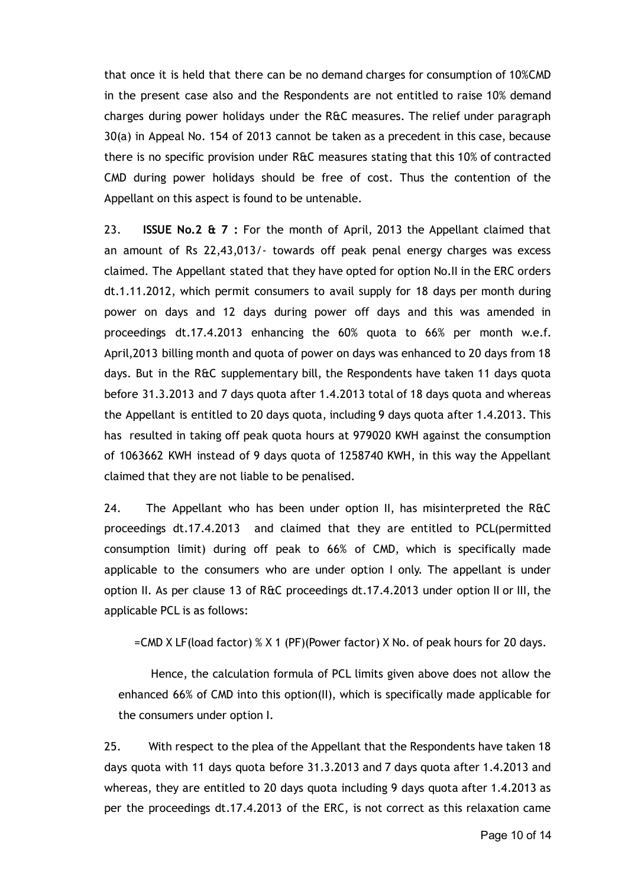that once it is held that there can be no demand charges for consumption of 10%CMD in the present case also and the Respondents are not entitled to raise 10% demand charges during power holidays under the R&C measures. The relief under paragraph 30(a) in Appeal No. 154 of 2013 cannot be taken as a precedent in this case, because there is no specific provision under R&C measures stating that this 10% of contracted CMD during power holidays should be free of cost. Thus the contention of the Appellant on this aspect is found to be untenable.

23. ISSUE No.2  $\&$  7 : For the month of April, 2013 the Appellant claimed that an amount of Rs 22,43,013/‐ towards off peak penal energy charges was excess claimed. The Appellant stated that they have opted for option No.II in the ERC orders dt.1.11.2012, which permit consumers to avail supply for 18 days per month during power on days and 12 days during power off days and this was amended in proceedings dt.17.4.2013 enhancing the 60% quota to 66% per month w.e.f. April,2013 billing month and quota of power on days was enhanced to 20 days from 18 days. But in the R&C supplementary bill, the Respondents have taken 11 days quota before 31.3.2013 and 7 days quota after 1.4.2013 total of 18 days quota and whereas the Appellant is entitled to 20 days quota, including 9 days quota after 1.4.2013. This has resulted in taking off peak quota hours at 979020 KWH against the consumption of 1063662 KWH instead of 9 days quota of 1258740 KWH, in this way the Appellant claimed that they are not liable to be penalised.

24. The Appellant who has been under option II, has misinterpreted the R&C proceedings dt.17.4.2013 and claimed that they are entitled to PCL(permitted consumption limit) during off peak to 66% of CMD, which is specifically made applicable to the consumers who are under option I only. The appellant is under option II. As per clause 13 of R&C proceedings dt.17.4.2013 under option II or III, the applicable PCL is as follows:

=CMD X LF(load factor) % X 1 (PF)(Power factor) X No. of peak hours for 20 days.

Hence, the calculation formula of PCL limits given above does not allow the enhanced 66% of CMD into this option(II), which is specifically made applicable for the consumers under option I.

25. With respect to the plea of the Appellant that the Respondents have taken 18 days quota with 11 days quota before 31.3.2013 and 7 days quota after 1.4.2013 and whereas, they are entitled to 20 days quota including 9 days quota after 1.4.2013 as per the proceedings dt.17.4.2013 of the ERC, is not correct as this relaxation came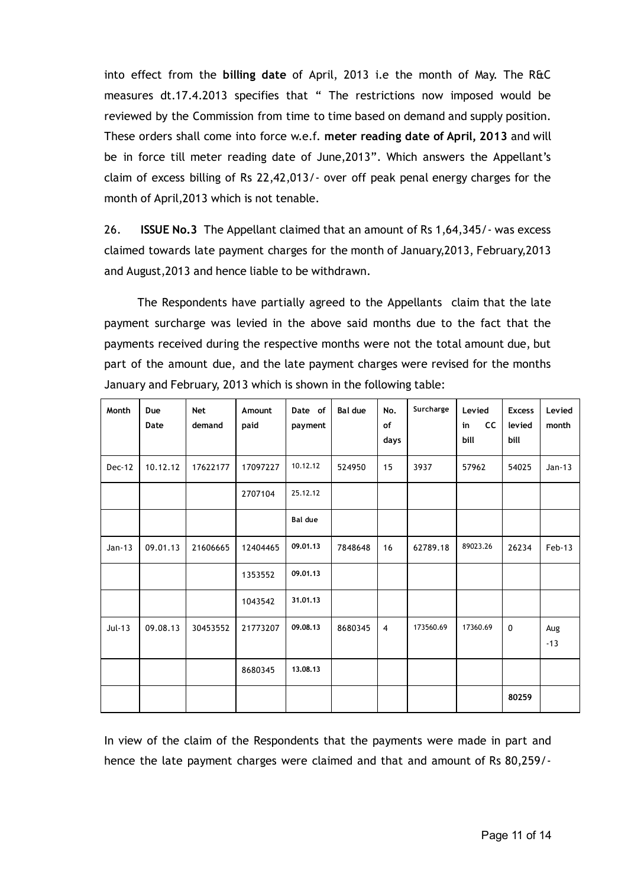into effect from the billing date of April, 2013 i.e the month of May. The R&C measures dt.17.4.2013 specifies that " The restrictions now imposed would be reviewed by the Commission from time to time based on demand and supply position. These orders shall come into force w.e.f. meter reading date of April, 2013 and will be in force till meter reading date of June,2013". Which answers the Appellant's claim of excess billing of Rs 22,42,013/‐ over off peak penal energy charges for the month of April,2013 which is not tenable.

26. ISSUE No.3 The Appellant claimed that an amount of Rs 1,64,345/- was excess claimed towards late payment charges for the month of January,2013, February,2013 and August,2013 and hence liable to be withdrawn.

The Respondents have partially agreed to the Appellants claim that the late payment surcharge was levied in the above said months due to the fact that the payments received during the respective months were not the total amount due, but part of the amount due, and the late payment charges were revised for the months January and February, 2013 which is shown in the following table:

| Month         | Due<br>Date | <b>Net</b><br>demand | Amount<br>paid | Date of<br>payment | <b>Bal due</b> | No.<br>of<br>days | Surcharge | Levied<br><b>CC</b><br>in<br>bill | <b>Excess</b><br>levied<br>bill | Levied<br>month |
|---------------|-------------|----------------------|----------------|--------------------|----------------|-------------------|-----------|-----------------------------------|---------------------------------|-----------------|
| <b>Dec-12</b> | 10.12.12    | 17622177             | 17097227       | 10.12.12           | 524950         | 15                | 3937      | 57962                             | 54025                           | $Jan-13$        |
|               |             |                      | 2707104        | 25.12.12           |                |                   |           |                                   |                                 |                 |
|               |             |                      |                | <b>Bal due</b>     |                |                   |           |                                   |                                 |                 |
| $Jan-13$      | 09.01.13    | 21606665             | 12404465       | 09.01.13           | 7848648        | 16                | 62789.18  | 89023.26                          | 26234                           | Feb-13          |
|               |             |                      | 1353552        | 09.01.13           |                |                   |           |                                   |                                 |                 |
|               |             |                      | 1043542        | 31.01.13           |                |                   |           |                                   |                                 |                 |
| $Jul-13$      | 09.08.13    | 30453552             | 21773207       | 09.08.13           | 8680345        | $\overline{4}$    | 173560.69 | 17360.69                          | $\mathbf 0$                     | Aug<br>$-13$    |
|               |             |                      | 8680345        | 13,08,13           |                |                   |           |                                   |                                 |                 |
|               |             |                      |                |                    |                |                   |           |                                   | 80259                           |                 |

In view of the claim of the Respondents that the payments were made in part and hence the late payment charges were claimed and that and amount of Rs 80,259/‐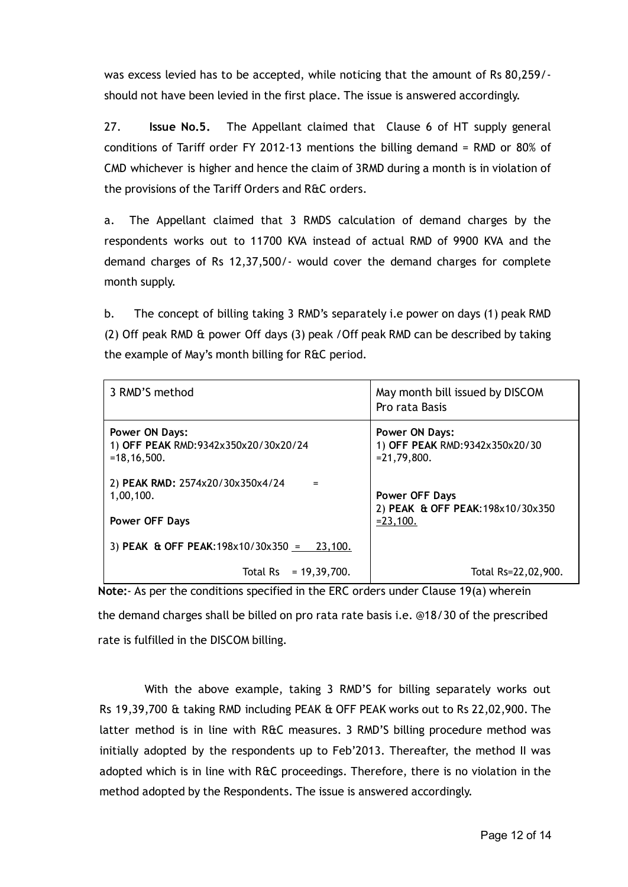was excess levied has to be accepted, while noticing that the amount of Rs 80,259/‐ should not have been levied in the first place. The issue is answered accordingly.

27. Issue No.5. The Appellant claimed that Clause 6 of HT supply general conditions of Tariff order FY 2012‐13 mentions the billing demand = RMD or 80% of CMD whichever is higher and hence the claim of 3RMD during a month is in violation of the provisions of the Tariff Orders and R&C orders.

a. The Appellant claimed that 3 RMDS calculation of demand charges by the respondents works out to 11700 KVA instead of actual RMD of 9900 KVA and the demand charges of Rs 12,37,500/‐ would cover the demand charges for complete month supply.

b. The concept of billing taking 3 RMD's separately i.e power on days (1) peak RMD (2) Off peak RMD & power Off days (3) peak /Off peak RMD can be described by taking the example of May's month billing for R&C period.

| 3 RMD'S method                                                                 | May month bill issued by DISCOM<br>Pro rata Basis                          |
|--------------------------------------------------------------------------------|----------------------------------------------------------------------------|
| <b>Power ON Days:</b><br>1) OFF PEAK RMD:9342x350x20/30x20/24<br>$=18.16.500.$ | <b>Power ON Days:</b><br>1) OFF PEAK RMD: 9342x350x20/30<br>$= 21,79,800.$ |
| 2) PEAK RMD: 2574x20/30x350x4/24<br>1,00,100.<br><b>Power OFF Days</b>         | Power OFF Days<br>2) PEAK & OFF PEAK: 198x10/30x350<br>$= 23,100.$         |
| 3) PEAK & OFF PEAK: $198 \times 10/30 \times 350 =$<br>23,100.                 |                                                                            |
| Total Rs = $19.39.700$ .                                                       | Total Rs=22,02,900.                                                        |

Note: As per the conditions specified in the ERC orders under Clause 19(a) wherein the demand charges shall be billed on pro rata rate basis i.e. @18/30 of the prescribed rate is fulfilled in the DISCOM billing.

With the above example, taking 3 RMD'S for billing separately works out Rs 19,39,700 & taking RMD including PEAK & OFF PEAK works out to Rs 22,02,900. The latter method is in line with R&C measures. 3 RMD'S billing procedure method was initially adopted by the respondents up to Feb'2013. Thereafter, the method II was adopted which is in line with R&C proceedings. Therefore, there is no violation in the method adopted by the Respondents. The issue is answered accordingly.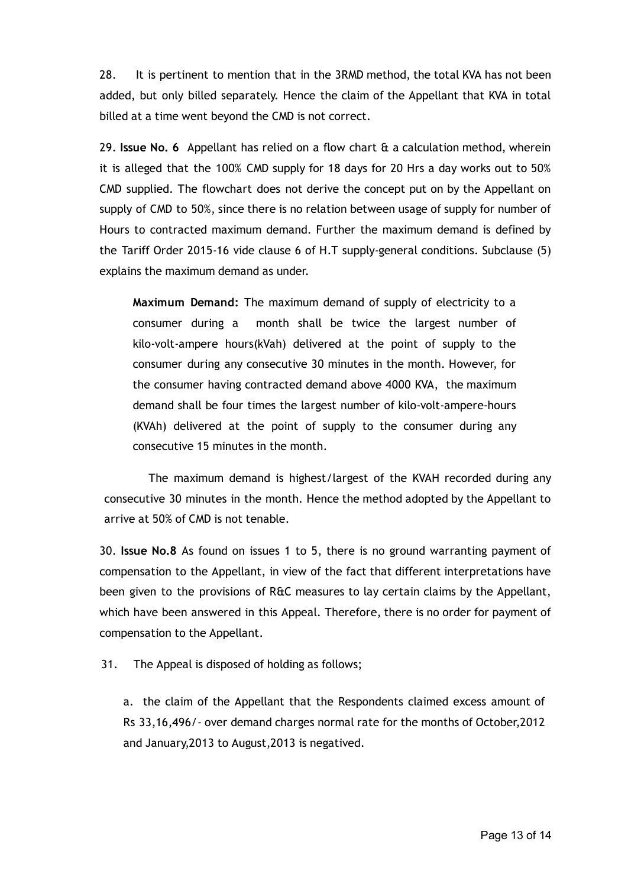28. It is pertinent to mention that in the 3RMD method, the total KVA has not been added, but only billed separately. Hence the claim of the Appellant that KVA in total billed at a time went beyond the CMD is not correct.

29. Issue No. 6 Appellant has relied on a flow chart  $\theta$  a calculation method, wherein it is alleged that the 100% CMD supply for 18 days for 20 Hrs a day works out to 50% CMD supplied. The flowchart does not derive the concept put on by the Appellant on supply of CMD to 50%, since there is no relation between usage of supply for number of Hours to contracted maximum demand. Further the maximum demand is defined by the Tariff Order 2015‐16 vide clause 6 of H.T supply‐general conditions. Subclause (5) explains the maximum demand as under.

Maximum Demand: The maximum demand of supply of electricity to a consumer during a month shall be twice the largest number of kilo-volt-ampere hours(kVah) delivered at the point of supply to the consumer during any consecutive 30 minutes in the month. However, for the consumer having contracted demand above 4000 KVA, the maximum demand shall be four times the largest number of kilo‐volt‐ampere‐hours (KVAh) delivered at the point of supply to the consumer during any consecutive 15 minutes in the month.

The maximum demand is highest/largest of the KVAH recorded during any consecutive 30 minutes in the month. Hence the method adopted by the Appellant to arrive at 50% of CMD is not tenable.

30. Issue No.8 As found on issues 1 to 5, there is no ground warranting payment of compensation to the Appellant, in view of the fact that different interpretations have been given to the provisions of R&C measures to lay certain claims by the Appellant, which have been answered in this Appeal. Therefore, there is no order for payment of compensation to the Appellant.

31. The Appeal is disposed of holding as follows;

a. the claim of the Appellant that the Respondents claimed excess amount of Rs 33,16,496/‐ over demand charges normal rate for the months of October,2012 and January,2013 to August,2013 is negatived.